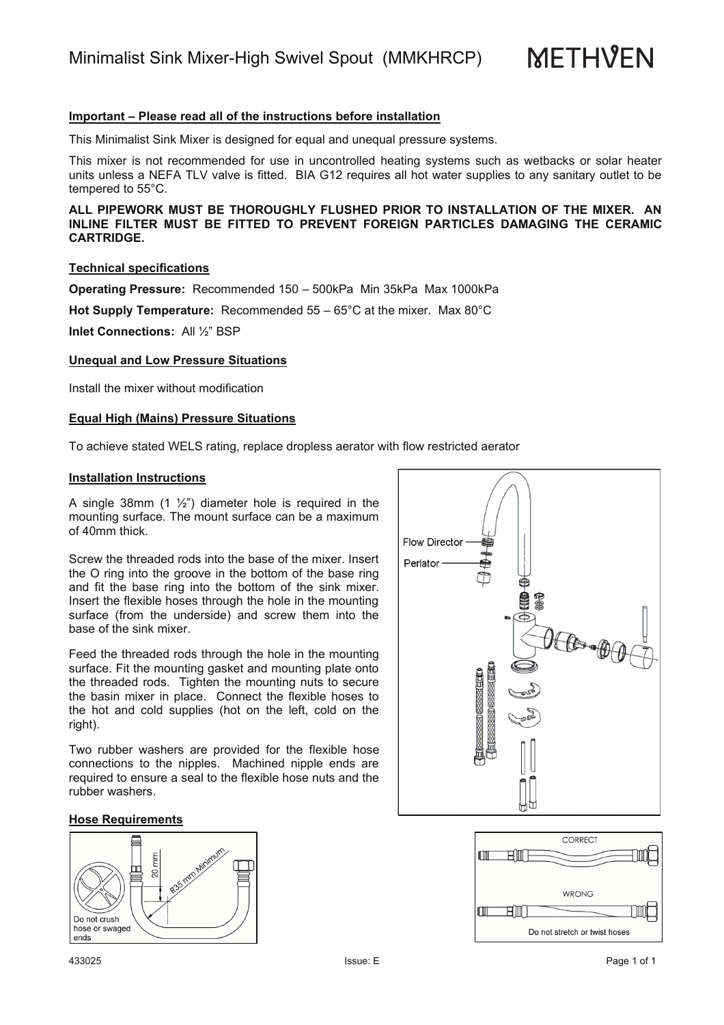Minimalist Sink Mixer-High Swivel Spout (MMKHRCP)

**METHVEN** 

# **Important – Please read all of the instructions before installation**

This Minimalist Sink Mixer is designed for equal and unequal pressure systems.

This mixer is not recommended for use in uncontrolled heating systems such as wetbacks or solar heater units unless a NEFA TLV valve is fitted. BIA G12 requires all hot water supplies to any sanitary outlet to be tempered to 55°C.

**ALL PIPEWORK MUST BE THOROUGHLY FLUSHED PRIOR TO INSTALLATION OF THE MIXER. AN INLINE FILTER MUST BE FITTED TO PREVENT FOREIGN PARTICLES DAMAGING THE CERAMIC CARTRIDGE.**

# **Technical specifications**

**Operating Pressure:** Recommended 150 – 500kPa Min 35kPa Max 1000kPa

**Hot Supply Temperature:** Recommended 55 – 65°C at the mixer. Max 80°C

**Inlet Connections:** All ½" BSP

# **Unequal and Low Pressure Situations**

Install the mixer without modification

#### **Equal High (Mains) Pressure Situations**

To achieve stated WELS rating, replace dropless aerator with flow restricted aerator

#### **Installation Instructions**

A single 38mm  $(1 \frac{1}{2})$  diameter hole is required in the mounting surface. The mount surface can be a maximum of 40mm thick.

Screw the threaded rods into the base of the mixer. Insert the O ring into the groove in the bottom of the base ring and fit the base ring into the bottom of the sink mixer. Insert the flexible hoses through the hole in the mounting surface (from the underside) and screw them into the base of the sink mixer.

Feed the threaded rods through the hole in the mounting surface. Fit the mounting gasket and mounting plate onto the threaded rods. Tighten the mounting nuts to secure the basin mixer in place. Connect the flexible hoses to the hot and cold supplies (hot on the left, cold on the right).

Two rubber washers are provided for the flexible hose connections to the nipples. Machined nipple ends are required to ensure a seal to the flexible hose nuts and the rubber washers.

# **Hose Requirements**